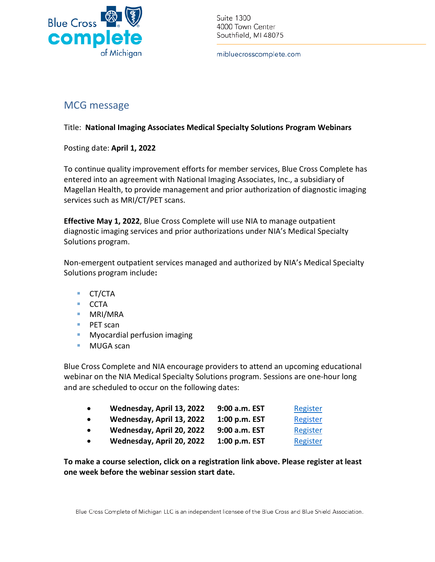

Suite 1300 4000 Town Center Southfield, MI 48075

mibluecrosscomplete.com

## MCG message

## Title: **National Imaging Associates Medical Specialty Solutions Program Webinars**

Posting date: **April 1, 2022**

To continue quality improvement efforts for member services, Blue Cross Complete has entered into an agreement with National Imaging Associates, Inc., a subsidiary of Magellan Health, to provide management and prior authorization of diagnostic imaging services such as MRI/CT/PET scans.

**Effective May 1, 2022**, Blue Cross Complete will use NIA to manage outpatient diagnostic imaging services and prior authorizations under NIA's Medical Specialty Solutions program.

Non-emergent outpatient services managed and authorized by NIA's Medical Specialty Solutions program include**:**

- CT/CTA
- CCTA
- **MRI/MRA**
- PET scan
- **Myocardial perfusion imaging**
- MUGA scan

Blue Cross Complete and NIA encourage providers to attend an upcoming educational webinar on the NIA Medical Specialty Solutions program. Sessions are one-hour long and are scheduled to occur on the following dates:

| $\bullet$ | Wednesday, April 13, 2022 | 9:00 a.m. EST | Register |
|-----------|---------------------------|---------------|----------|
| $\bullet$ | Wednesday, April 13, 2022 | 1:00 p.m. EST | Register |
| $\bullet$ | Wednesday, April 20, 2022 | 9:00 a.m. EST | Register |
| $\bullet$ | Wednesday, April 20, 2022 | 1:00 p.m. EST | Register |

**To make a course selection, click on a registration link above. Please register at least one week before the webinar session start date.**